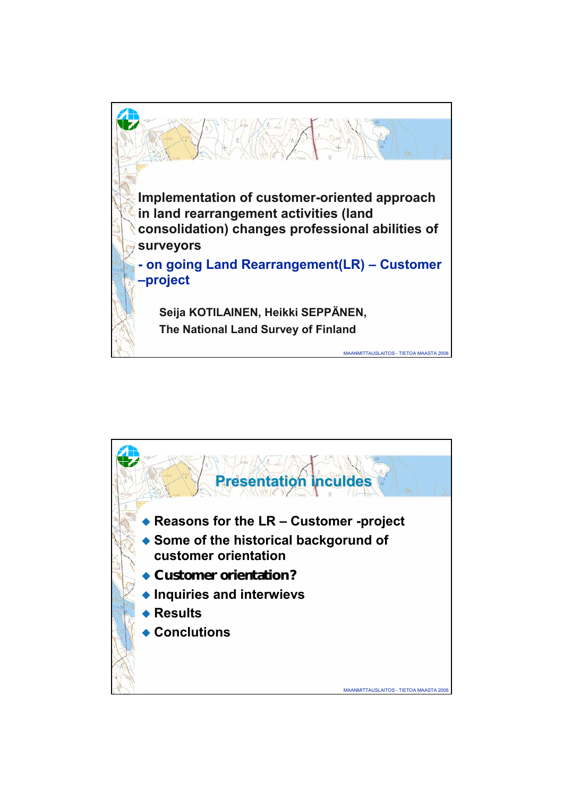

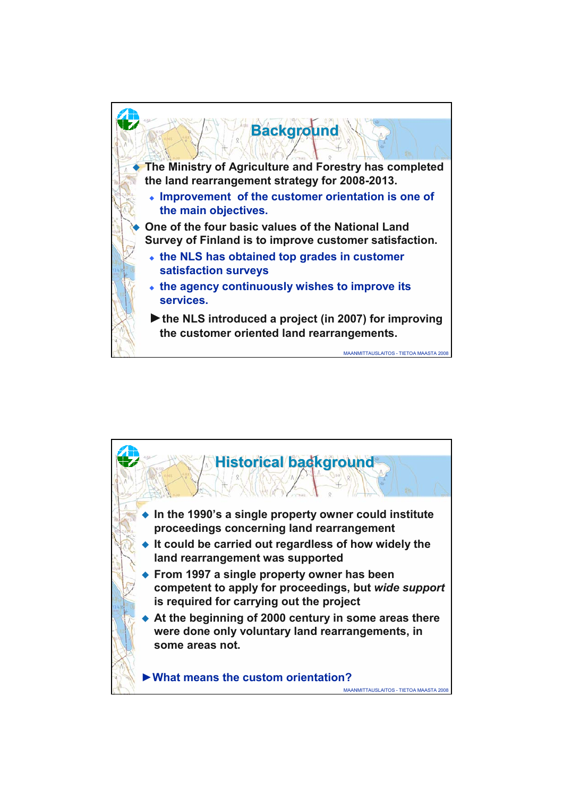

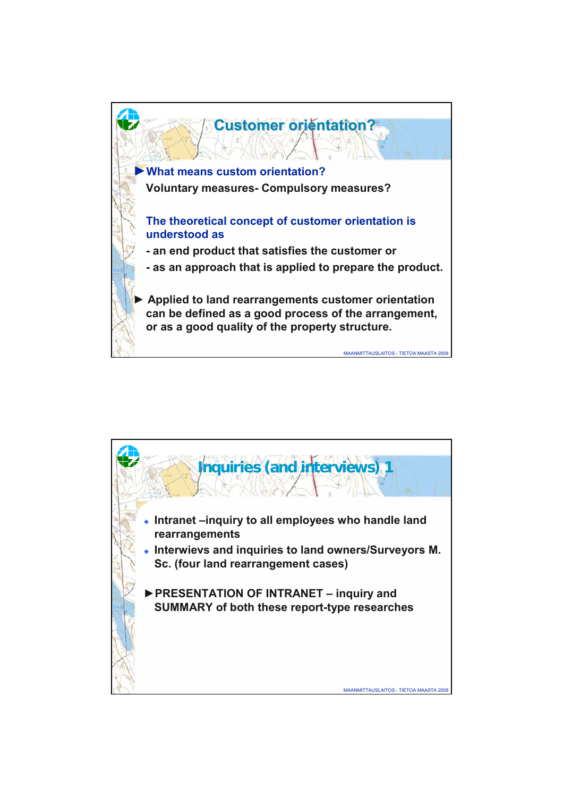

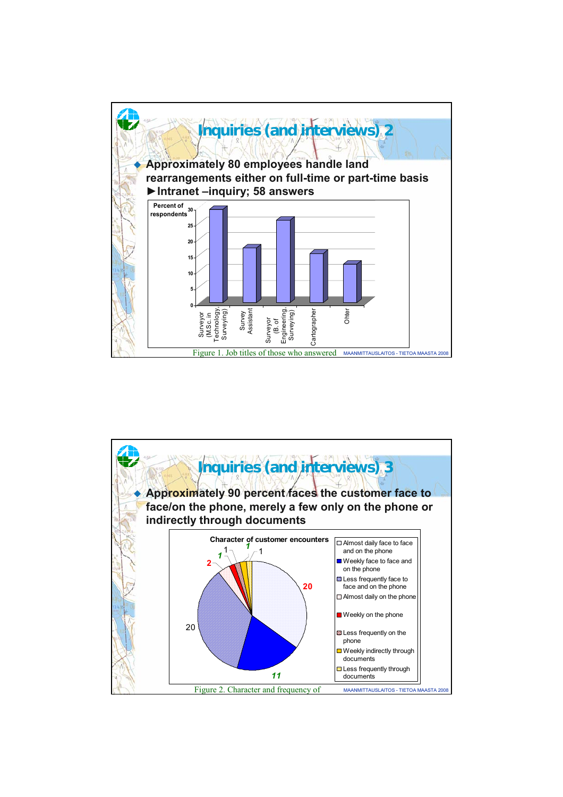

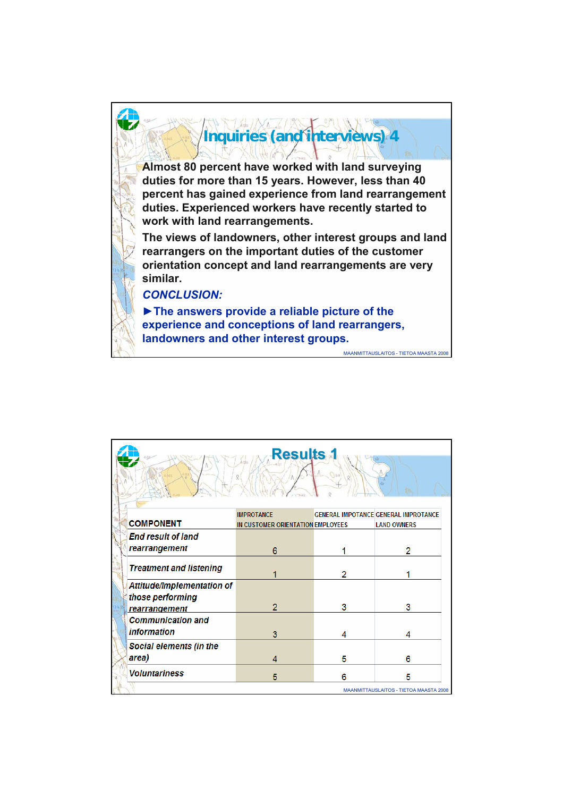

|  | <b>Results</b>                                                         |                                                        |   |                                                                   |
|--|------------------------------------------------------------------------|--------------------------------------------------------|---|-------------------------------------------------------------------|
|  | <b>COMPONENT</b>                                                       | <b>IMPROTANCE</b><br>IN CUSTOMER ORIENTATION EMPLOYEES |   | <b>GENERAL IMPOTANCE GENERAL IMPROTANCE</b><br><b>LAND OWNERS</b> |
|  | <b>End result of land</b><br>rearrangement                             | 6                                                      |   | 2                                                                 |
|  | <b>Treatment and listening</b>                                         |                                                        | 2 |                                                                   |
|  | Attitude/Implementation of<br>those performing<br><b>rearrangement</b> | 2                                                      | 3 | 3                                                                 |
|  | <b>Communication and</b><br><i>information</i>                         | 3                                                      | 4 |                                                                   |
|  | Social elements (in the<br>area)                                       | 4                                                      | 5 | 6                                                                 |
|  | <b>Voluntariness</b>                                                   | 5                                                      | 6 | 5<br>MAANMITTAUSLAITOS - TIETOA MAASTA 2008                       |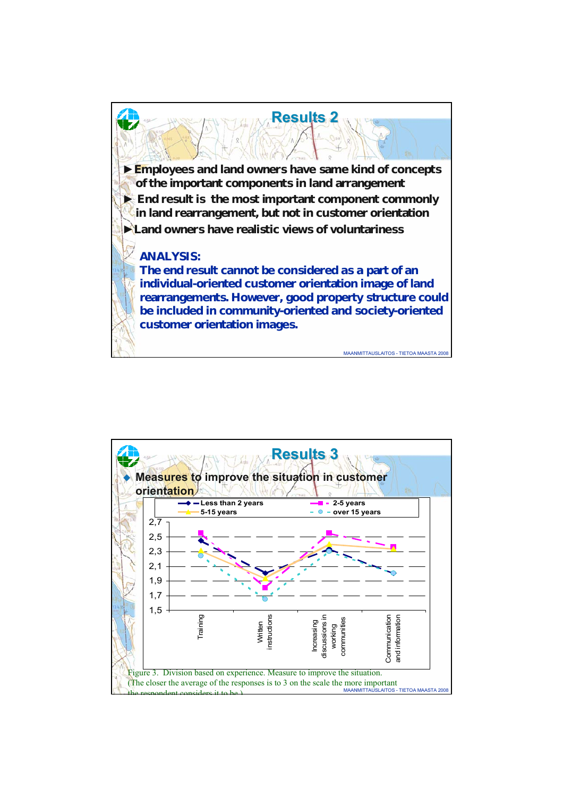

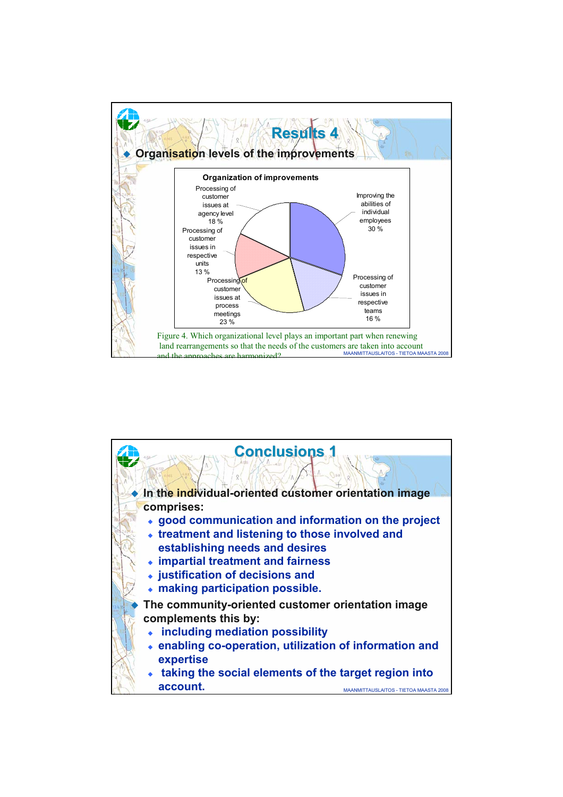